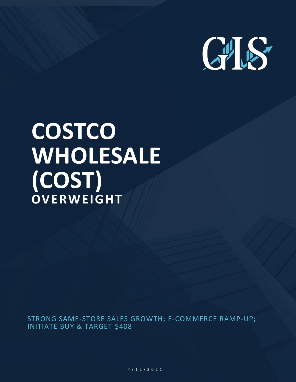

# **COSTCO WHOLESALE (COST) OVERWEIGHT**

STRONG SAME-STORE SALES GROWTH; E-COMMERCE RAMP-UP; INITIATE BUY & TARGET \$408

> C O S T M A R C H 2 6 T H , 2 0 2 1 4 / 1 2 / 2 0 2 1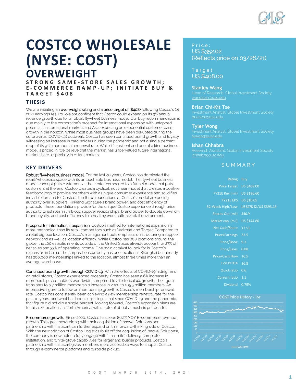# **COSTCO WHOLESALE (NYSE: COST) OVERWEIGHT**

**S T R O N G S A M E - S T O R E S A L E S G R O W T H ; E - C O M M E R C E R A M P - U P ; I N I T I A T E B U Y & T A R G E T \$ 4 0 8**

# **THESIS**

We are initiating an overweight rating and a price target of (\$408) following Costco's Q1 2021 earnings results. We are confident that Costco could expand on its 9% annual revenue growth due to its robust flywheel business model. Our buy recommendation is due mainly to the corporation's prospect for international expansion with untapped potential in international markets and Asia expecting an exponential customer base growth in the horizon. While most business groups have been disrupted during the coronavirus (COVID-19) outbreak, Costco has seen continued brand growth and loyalty witnessing an increase in card holders during the pandemic and not a single percent drop of its 91% membership renewal rate. While it's resilient and one of a kind business model is priced in, we believe that the market has undervalued future international market share, especially in Asian markets.

# **KEY DRIVERS**

Robust flywheel business model. For the last 40 years, Costco has dominated the retail/wholesale space with its untouchable business model. The flywheel business model concept puts customers at the center compared to a funnel model that puts customers at the end. Costco creates a cyclical, not linear model that creates a positive feedback loop to provide members with a unique consumer experience and solidifies inelastic demand for Costco. The three foundations of Costco's model are pricing authority over suppliers, Kirkland Signature's brand power, and cost efficiency of products. These foundations provide for the unique Costco experience through price authority to establish symbiotic supplier relationships, brand power to double down on brand loyalty, and cost efficiency to a healthy work culture/retail environment.

Prospect for international expansion. Costco's method for international expansion is more methodical than its retail competitors such as Walmart and Target. Compared to a retail big box location, Costco's management puts emphasis on structuring a supplier network and as well as location efficacy. While Costco has 800 locations around the globe, the 100 establishments outside of the United States already account for 27% of net sales and 33% of operating income. One main catalyst to look for is Costco's expansion in China. The corporation currently has one location in Shanghai but already has 200,000 memberships linked to the location, almost three times more than an average warehouse.

Continued brand growth through COVID-19. With the effects of COVID-19 hitting hard on retail stores, Costco experienced prosperity. Costco has seen a 6% increase in membership card holders worldwide compared to a historical 4% growth. The figure translates to a 7 million membership increase in 2020 to 105.5 million members. An impressive figure to follow on membership growth is Costco's membership renewal rate. Costco has consistently been achieving a 91% membership renewal rate for the past 10 years, and what has been surprising is that since COVID-19 and the pandemic, that figure did not dip a single percent. Moving forward, Costco's expansion plans are to raise 22 locations in North America, with a rate of about almost six per quarter.

E-commerce growth. Since 2020, Costco has seen 86.2% YOY E-commerce revenue growth. This great news along with their acquisition of Innovel Solutions and partnership with Instacart can further expand on this forward-thinking side of Costco. With the new addition of Costco Logistics (built off the acquisition of Innovel Solutions), the company is now able to fully engage with "final mile" delivery, complete installation, and white-glove capabilities for larger and bulkier products. Costco's partnership with Instacart gives members more accessible ways to shop at Costco, through e-commerce platforms and curbside pickup.

# Price:

US \$352.02 (Reflects price on 03/26/21)

# T a r g e t : US \$408.00

#### **Stanley Wang**

#### **Brian Chi-Kit Tse**

[briancht@usc.edu](mailto:briancht@usc.edu)

#### **Tyler Wong**

Investment Analyst, Global Investment Society

#### **Ishan Chhabra**

Research Assistant, Global Investment Society [ichhabra@usc.edu](mailto:ichhabra@usc.edu)

# **SUMMARY**

| Rating                 | <b>Buy</b>              |
|------------------------|-------------------------|
| <b>Price Target</b>    | US \$408.00             |
| FY21E Rev (mil)        | US \$186.60             |
| <b>FY21E EPS</b>       | <b>US \$10.05</b>       |
| 52-Week High/Low       | US \$278.42/US \$393.15 |
| Shares Out (mil) 446.9 |                         |
| Market cap. (mil)      | US \$144.80             |
| Net Cash/Share 17.51   |                         |
| Price/Earnings 33.5    |                         |
| Price/Book 9.3         |                         |
| <b>Price/Sales</b>     | 0.88                    |
| <b>Price/Cash Flow</b> | 16.5                    |
| EV/EBITDA              | 16.8                    |
| Quick ratio            | $0.\overline{6}$        |
| Current ratio 1.1      |                         |
| Dividend               | 0.79%                   |
|                        |                         |



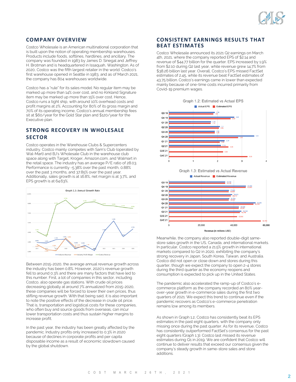

# **COMPANY OVERVIEW**

Costco Wholesale is an American multinational corporation that is built upon the notion of operating membership warehouses. Products include foods, softlines, hardlines, and ancillary. The company was founded in 1983 by James D. Sinegal and Jeffrey H. Brotman and is headquartered in Issaquah, Washington. As of 2020, Costco was the fifth largest retailer in the world. Costco's first warehouse opened in Seattle in 1983, and as of March 2021, the company has 804 warehouses worldwide.

Costco has a "rule" for its sales model: No regular item may be marked up more than 14% over cost, and no Kirkland Signature item may be marked up more than 15% over cost. Hence, Costco runs a tight ship, with around 10% overhead costs and profit margins at 2%. Accounting for 80% of its gross margin and 70% of its operating income, Costco's annual membership fees sit at \$60/year for the Gold Star plan and \$120/year for the Executive plan.

# **STRONG RECOVERY IN WHOLESALE SECTOR**

Costco operates in the Warehouse Clubs & Supercenters industry. Costco mainly competes with Sam's Club (operated by Wal-Mart) and BJ's Wholesale Club in the warehouse club space along with Target, Kroger, Amazon.com, and Walmart in the retail space. The industry has an average P/E ratio of 28.03. Performance is currently -5.38% over the past month, 0.88% over the past 3 months, and 37.85% over the past year. Additionally, sales growth is at 16.8%, net margin is at 3.7%, and EPS growth is at 64.63%.



Between 2015-2020, the average annual revenue growth across the industry has been 0.8%. However, 2020's revenue growth fell to around 0.3% and there are many factors that have led to this number. First, a lot of companies in this sector, including Costco, also operate gas stations. With crude oil prices decreasing globally at around 7% annualized from 2015-2020, these companies will be forced to lower their own prices, thus stifling revenue growth. With that being said, it is also important to note the positive effects of the decrease in crude oil price. That is, transportation and logistical costs for these companies, who often buy and source goods from overseas, can incur lower transportation costs and thus sustain higher margins to increase profit.

In the past year, the industry has been greatly affected by the pandemic. Industry profits only increased to 0.3% in 2020 because of declines in corporate profits and per capita disposable income as a result of economic slowdown caused by the global shutdown.

## **CONSISTENT EARNINGS RESULTS THAT BEAT ESTIMATES**

Costco Wholesale announced its 2021 Q2 earnings on March 4th, 2021, where the company reported EPS of \$2.14 and revenue of \$44.77 billion for the quarter. EPS increased by 1.9% from \$2.10 during Q2 last year, while revenue grew 14.7% from \$38.26 billion last year. Overall, Costco's EPS missed FactSet estimates of 2.45, while its revenue beat FactSet estimates of 43.75 billion. Costco's earnings came in lower than expected mainly because of one-time costs incurred primarily from Covid-19 premium wages.



Graph 1.3: Estimated vs Actual Revenue



Meanwhile, the company also reported double-digit samestore sales growth in the US, Canada, and international markets. In particular, Costco reported a 21.5% growth in international markets compared to Q2 in 2020, exhibiting the company's strong recovery in Japan, South Korea, Taiwan, and Australia. Costco did not open or close down and stores during this quarter, though we expect the company to open 2-4 stores during the third quarter as the economy reopens and consumption is expected to pick up in the United States.

The pandemic also accelerated the ramp-up of Costco's ecommerce platform as the company recorded an 80% yearover-year growth in e-commerce sales during the first two quarters of 2021. We expect this trend to continue even if the pandemic recovers as Costco's e-commerce penetration remains low among its members.

As shown in Graph 1.2, Costco has consistently beat its EPS estimates in the past eight quarters, with the company only missing once during the past quarter. As for its revenue, Costco has consistently outperformed FactSet's consensus for the past eight quarters (Graph 1.3). Costco last missed its revenue estimates during Q1 in 2019. We are confident that Costco will continue to deliver results that exceed our consensus given the company's steady growth in same-store sales and store additions.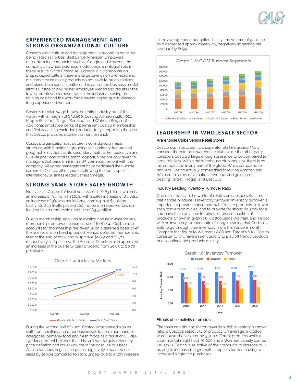

# **EXPERIENCED MANAGEMENT AND STRONG ORGANIZATIONAL CULTURE**

Costco's work culture and management is second to none. As being rated as Forbes' Best Large American Employers, outperforming companies such as Google and Amazon, the company's flywheel business model plays an integral role in these results. Since Costco sells goods in a warehouse on prepackaged pallets, there are large savings on overhead and maintenance costs as products do not have to be on shelves and placed in a specific pattern. This part of the business model allows Costco to pay higher employee wages and results in the lowest employee turnover rate in the industry - saving on training costs and the workforce having higher quality decadelong experienced workers.

Costco's median wage blows the entire industry out of the water, with a median of \$38,800, beating Amazon (\$28,400), Kroger (\$21,100), Target (\$20,600), and Walmart (\$19,200). Additional employee perks of permanent Costco membership and first access to exclusive products, fully supporting the idea that Costco provides a career, rather than a job.

Costco's organizational structure is considered a matrix structure, with functional grouping as its primary feature and geographic divisions as its secondary feature. For executive and C-level positions within Costco, opportunities are only given to managers that pass a minimum 25 year requirement with the company. All upper management have dedicated their whole careers to Costco, all of course following the footsteps of international business leader James Sinegal.

# **STRONG SAME-STORE SALES GROWTH**

Net sales at Costco for fiscal year 2020 hit \$163 billion, which is an increase of 9% from FY2019, with a sales increase of 8%. Also an increase of 9% was net income, coming in at \$4 billion. Lastly, Costco finally passed 100 million members worldwide, leading to a membership revenue of \$3.54 billion.

Due to membership sign-ups at existing and new warehouses, membership fee revenue increased 6% to \$3,541. Costco also accounts for membership fee revenue on a deferred basis, over the one-year membership period. Hence, deferred membership fees at the end of 2020 and 2019 were \$1,851 and \$1,711, respectively. In April 2020, the Board of Directors also approved an increase in the quarterly cash dividend from \$0.65 to \$0.70 per share.



During the second half of 2020, Costco experienced a sales shift from ancillary and other businesses to core merchandise categories, primarily food and fresh foods as a result of COVID-19. Management believes that this shift was largely driven by price deflation and lower volume in the gasoline business. Also, alterations in gasoline prices negatively impacted net sales by \$1,504 compared to 2019, largely due to a 10% increase in the average price per gallon. Lastly, the volume of gasoline sold decreased approximately 4%, negatively impacting net revenue by \$699.



# **LEADERSHIP IN WHOLESALE SECTOR**

#### Warehouse Clubs versus Retail Stores

Costco sits in between two separate retail industries. Many consider them to be a warehouse club, while the other party considers Costco a large enough presence to be compared to large retailers. Within the warehouse club industry, there is no fair competition in any part of the globe. While compared to retailers, Costco actually comes third following Amazon and Walmart in terms of valuation, revenue, and gross profit beating Target, Kroger, and Best Buy.

#### Industry Leading Inventory Turnover Ratio

One main metric in the world of retail stores, especially firms that handle produce is inventory turnover. Inventory turnover is important to provide consumers with fresher products, to lower cash conversion cycles, and to provide for strong liquidity for a company that can allow for pivots or discontinuation of products. Shown at graph 1.6, Costco leads Walmart and Target with an inventory turnover ratio of 12.29, meaning that Costco is able to go through their inventory more than once a month. Compare that figure to Walmart's 8.88 and Target's 6.10, Costco consistently will have easier liquidity to play off trendy products or discontinue old products quickly.



#### Effects of selectivity of product

The main contributing factor towards a high inventory turnover ratio is Costco's selectivity of product. On average, a Costco warehouse shelves around 3,700 different products while a supermarket might hold 30,000 and a Walmart usually carries >100,000. Costco is selective of their products to increase bulk buying to increase margins with suppliers further leading to increased single trip purchases.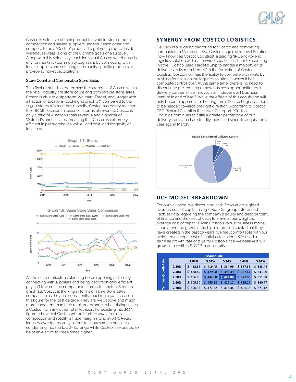

Costco is selective of their product to avoid in-store product competition and having suppliers undercut each other and compete to be a "Costco" product. To get your product inside warehouse walls is one of the ultimate goals of a supplier. Along with this selectivity, each individual Costco warehouse is environmentally/community cognizant by connecting with local suppliers and selecting community specific products to provide at individual locations.

#### Store Count and Comparable Store Sales

Two final metrics that determine the strengths of Costco within the retail industry are store count and comparable store sales. Costco is able to outperform Walmart, Target, and Kroger with a fraction of locations. Looking at graph 1.7, compared to the 11,500 stores Walmart has globally, Costco has barely reached their 800th location milestone. In terms of revenue, Costco is only a third of Amazon's total revenue and a quarter of Walmart's annual sales, meaning that Costco is extremely efficient in per warehouse value, land cost, and longevity of locations.



Graph 1.8: Same Store Sales Comparison



All the extra meticulous planning before opening a store by connecting with suppliers and being geographically efficient pays off towards the comparable store sales metric. Seen on graph 1.8, Costco is the king in terms of same store sales comparison as they are consistently reaching a 5% increase in this figure for the past decade. They are well above and much more consistent than their retail peers and is what distinguishes a Costco from any other retail location. Forecasting into 2023, figures show that Costco will pull further away from its competition and solidify a huge margin sitting at 6.2%. Retail industry average by 2023 seems to show same store sales condensing into the low 2-3% range while Costco is expected to be at levels two to three times higher.

# **SYNERGY FROM COSTCO LOGISTICS**

Delivery is a huge battleground for Costco and competing companies. In March of 2020, Costco acquired Innovel Solutions (now known as Costco Logistics), a leading 3PL end-to-end logistics solution with nationwide capabilities. Prior to acquiring Innovel, Costco used Target's Ship to handle a majority of its deliveries to its members. With the formation of Costco logistics, Costco now has the ability to compete with rivals by pushing for an in-house logistics solution in which it has complete control over. At the same time, there is no need to discontinue pre-existing or new business opportunities as a delivery partner since Innovel is an independent business venture in and of itself. While the effects of this acquisition will only become apparent in the long term, Costco Logistics seems to be headed towards the right direction. According to Costco CFO Richard Galanti in their 2021 Q2 report, "Costco Logistics…continues to fulfill a greater percentage of our delivery items and has steadily increased since its acquisition a year ago in March."



# **DCF MODEL BREAKDOWN**

For our valuation, we discounted cash flows at a weighted average cost of capital using 5.24%. Our group referenced FactSet data regarding the company's equity and debt percent of finance and the cost of each to arrive at our weighted average cost of capital. Given Costco's robust business model, steady revenue growth, and high returns on capital that they have created in the past 10 years, we feel comfortable with our weighted average cost of capital calculations. We used a terminal growth rate of 2.5% for Costco since we believe it will grow in line with U.S. GDP in perpetuity.

| <b>Discount Rate</b>        |       |          |       |                               |       |          |  |
|-----------------------------|-------|----------|-------|-------------------------------|-------|----------|--|
|                             |       | 4.84%    | 5.04% | 5.24%                         | 5.44% | 5.64%    |  |
| <b>Terminal Growth Rate</b> | 2.30% | \$452.89 |       | \$416.45 \$384.99 \$357.56    |       | \$333.44 |  |
|                             | 2.40% | \$468.89 |       | \$429.98 \$396.49 \$367.44    |       | \$341.99 |  |
|                             | 2.50% | \$486.46 |       | $$444.58$ $$408.09$ $$377.98$ |       | \$351.08 |  |
|                             | 2.60% | \$505.50 |       | $$460.38 \t$422.12 \t$389.27$ |       | \$360.77 |  |
|                             | 2.70% | \$526.32 |       | \$477.52 \$436.44 \$401.38    |       | \$371.12 |  |